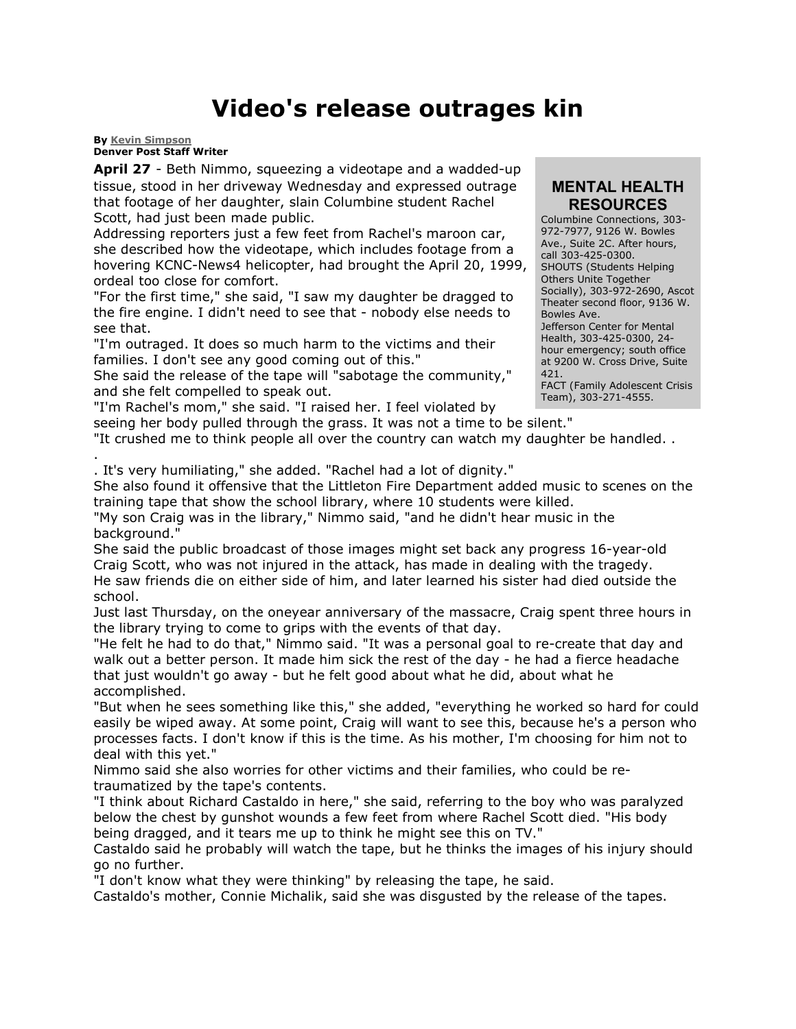## **Video's release outrages kin**

**By [Kevin Simpson](mailto:ksimpson@denverpost.com) Denver Post Staff Writer**

**April 27** - Beth Nimmo, squeezing a videotape and a wadded-up tissue, stood in her driveway Wednesday and expressed outrage that footage of her daughter, slain Columbine student Rachel Scott, had just been made public.

Addressing reporters just a few feet from Rachel's maroon car, she described how the videotape, which includes footage from a hovering KCNC-News4 helicopter, had brought the April 20, 1999, ordeal too close for comfort.

"For the first time," she said, "I saw my daughter be dragged to the fire engine. I didn't need to see that - nobody else needs to see that.

"I'm outraged. It does so much harm to the victims and their families. I don't see any good coming out of this."

She said the release of the tape will "sabotage the community," and she felt compelled to speak out.

"I'm Rachel's mom," she said. "I raised her. I feel violated by

## **MENTAL HEALTH RESOURCES**

Columbine Connections, 303- 972-7977, 9126 W. Bowles Ave., Suite 2C. After hours, call 303-425-0300. SHOUTS (Students Helping Others Unite Together Socially), 303-972-2690, Ascot Theater second floor, 9136 W. Bowles Ave. Jefferson Center for Mental Health, 303-425-0300, 24 hour emergency; south office at 9200 W. Cross Drive, Suite 421. FACT (Family Adolescent Crisis Team), 303-271-4555.

seeing her body pulled through the grass. It was not a time to be silent." "It crushed me to think people all over the country can watch my daughter be handled. .

. . It's very humiliating," she added. "Rachel had a lot of dignity."

She also found it offensive that the Littleton Fire Department added music to scenes on the training tape that show the school library, where 10 students were killed.

"My son Craig was in the library," Nimmo said, "and he didn't hear music in the background."

She said the public broadcast of those images might set back any progress 16-year-old Craig Scott, who was not injured in the attack, has made in dealing with the tragedy. He saw friends die on either side of him, and later learned his sister had died outside the school.

Just last Thursday, on the oneyear anniversary of the massacre, Craig spent three hours in the library trying to come to grips with the events of that day.

"He felt he had to do that," Nimmo said. "It was a personal goal to re-create that day and walk out a better person. It made him sick the rest of the day - he had a fierce headache that just wouldn't go away - but he felt good about what he did, about what he accomplished.

"But when he sees something like this," she added, "everything he worked so hard for could easily be wiped away. At some point, Craig will want to see this, because he's a person who processes facts. I don't know if this is the time. As his mother, I'm choosing for him not to deal with this yet."

Nimmo said she also worries for other victims and their families, who could be retraumatized by the tape's contents.

"I think about Richard Castaldo in here," she said, referring to the boy who was paralyzed below the chest by gunshot wounds a few feet from where Rachel Scott died. "His body being dragged, and it tears me up to think he might see this on TV."

Castaldo said he probably will watch the tape, but he thinks the images of his injury should go no further.

"I don't know what they were thinking" by releasing the tape, he said.

Castaldo's mother, Connie Michalik, said she was disgusted by the release of the tapes.